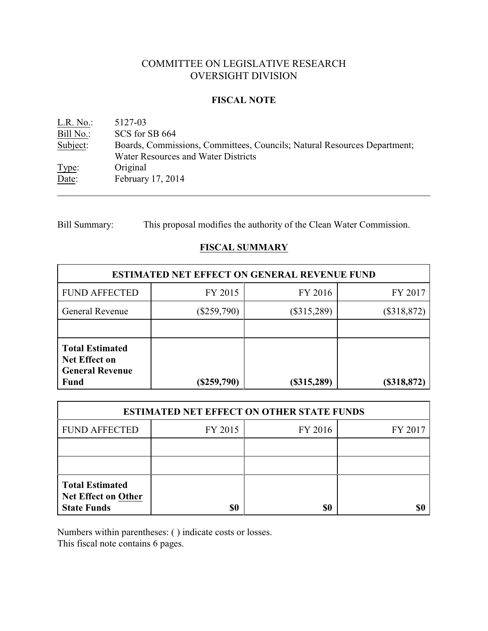# COMMITTEE ON LEGISLATIVE RESEARCH OVERSIGHT DIVISION

## **FISCAL NOTE**

<u>L.R. No.</u>: 5127-03<br>Bill No.: SCS for SCS for SB 664 Subject: Boards, Commissions, Committees, Councils; Natural Resources Department; Water Resources and Water Districts Type: Original Date: February 17, 2014

Bill Summary: This proposal modifies the authority of the Clean Water Commission.

# **FISCAL SUMMARY**

| <b>ESTIMATED NET EFFECT ON GENERAL REVENUE FUND</b>                                     |               |                              |                |  |
|-----------------------------------------------------------------------------------------|---------------|------------------------------|----------------|--|
| <b>FUND AFFECTED</b>                                                                    | FY 2015       | FY 2016                      | FY 2017        |  |
| <b>General Revenue</b>                                                                  | $(\$259,790)$ | (\$318,872)<br>$(\$315,289)$ |                |  |
|                                                                                         |               |                              |                |  |
| <b>Total Estimated</b><br><b>Net Effect on</b><br><b>General Revenue</b><br><b>Fund</b> | $(\$259,790)$ | $(\$315,289)$                | $($ \$318,872) |  |

| <b>ESTIMATED NET EFFECT ON OTHER STATE FUNDS</b>                    |         |         |         |  |
|---------------------------------------------------------------------|---------|---------|---------|--|
| <b>FUND AFFECTED</b>                                                | FY 2015 | FY 2016 | FY 2017 |  |
|                                                                     |         |         |         |  |
|                                                                     |         |         |         |  |
| <b>Total Estimated</b><br>Net Effect on Other<br><b>State Funds</b> | \$0     | \$0     |         |  |

Numbers within parentheses: ( ) indicate costs or losses.

This fiscal note contains 6 pages.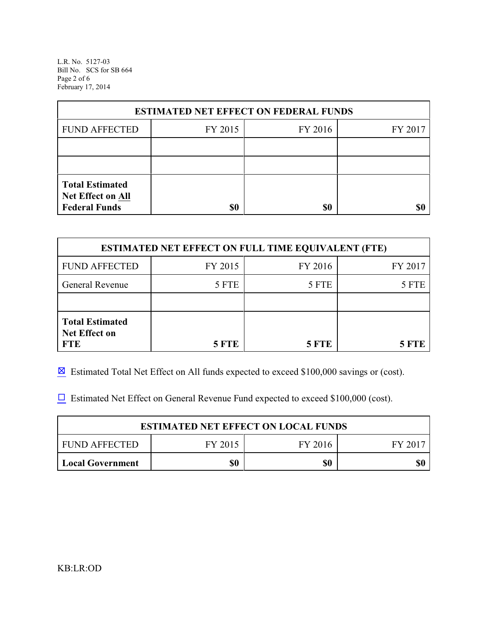L.R. No. 5127-03 Bill No. SCS for SB 664 Page 2 of 6 February 17, 2014

| <b>ESTIMATED NET EFFECT ON FEDERAL FUNDS</b>                        |         |         |         |  |
|---------------------------------------------------------------------|---------|---------|---------|--|
| <b>FUND AFFECTED</b>                                                | FY 2015 | FY 2016 | FY 2017 |  |
|                                                                     |         |         |         |  |
|                                                                     |         |         |         |  |
| <b>Total Estimated</b><br>Net Effect on All<br><b>Federal Funds</b> | \$0     | \$0     |         |  |

| <b>ESTIMATED NET EFFECT ON FULL TIME EQUIVALENT (FTE)</b>    |              |              |         |  |
|--------------------------------------------------------------|--------------|--------------|---------|--|
| <b>FUND AFFECTED</b>                                         | FY 2015      | FY 2016      | FY 2017 |  |
| <b>General Revenue</b>                                       | 5 FTE        | 5 FTE        | 5 FTE   |  |
|                                                              |              |              |         |  |
| <b>Total Estimated</b><br><b>Net Effect on</b><br><b>FTE</b> | <b>5 FTE</b> | <b>5 FTE</b> | 5 FTE   |  |

 $\boxtimes$  Estimated Total Net Effect on All funds expected to exceed \$100,000 savings or (cost).

 $\Box$  Estimated Net Effect on General Revenue Fund expected to exceed \$100,000 (cost).

| <b>ESTIMATED NET EFFECT ON LOCAL FUNDS</b> |         |         |         |  |
|--------------------------------------------|---------|---------|---------|--|
| FUND AFFECTED                              | FY 2015 | FY 2016 | FY 2017 |  |
| <b>Local Government</b>                    | \$0     | \$0     | \$0     |  |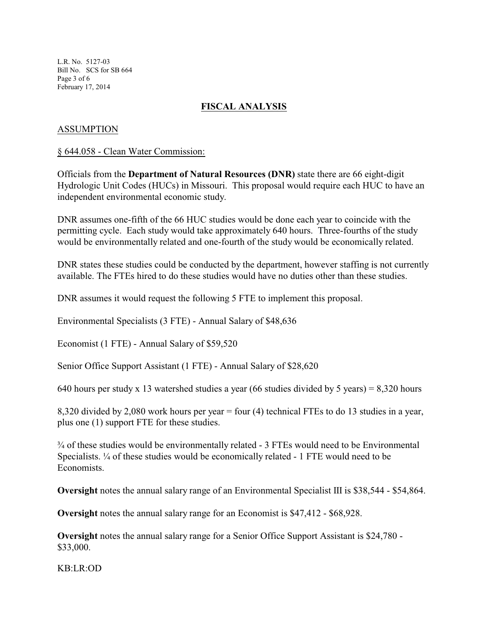L.R. No. 5127-03 Bill No. SCS for SB 664 Page 3 of 6 February 17, 2014

# **FISCAL ANALYSIS**

## ASSUMPTION

#### § 644.058 - Clean Water Commission:

Officials from the **Department of Natural Resources (DNR)** state there are 66 eight-digit Hydrologic Unit Codes (HUCs) in Missouri. This proposal would require each HUC to have an independent environmental economic study.

DNR assumes one-fifth of the 66 HUC studies would be done each year to coincide with the permitting cycle. Each study would take approximately 640 hours. Three-fourths of the study would be environmentally related and one-fourth of the study would be economically related.

DNR states these studies could be conducted by the department, however staffing is not currently available. The FTEs hired to do these studies would have no duties other than these studies.

DNR assumes it would request the following 5 FTE to implement this proposal.

Environmental Specialists (3 FTE) - Annual Salary of \$48,636

Economist (1 FTE) - Annual Salary of \$59,520

Senior Office Support Assistant (1 FTE) - Annual Salary of \$28,620

640 hours per study x 13 watershed studies a year (66 studies divided by 5 years) = 8,320 hours

8,320 divided by 2,080 work hours per year = four (4) technical FTEs to do 13 studies in a year, plus one (1) support FTE for these studies.

 $\frac{3}{4}$  of these studies would be environmentally related - 3 FTEs would need to be Environmental Specialists. ¼ of these studies would be economically related - 1 FTE would need to be Economists.

**Oversight** notes the annual salary range of an Environmental Specialist III is \$38,544 - \$54,864.

**Oversight** notes the annual salary range for an Economist is \$47,412 - \$68,928.

**Oversight** notes the annual salary range for a Senior Office Support Assistant is \$24,780 - \$33,000.

KB:LR:OD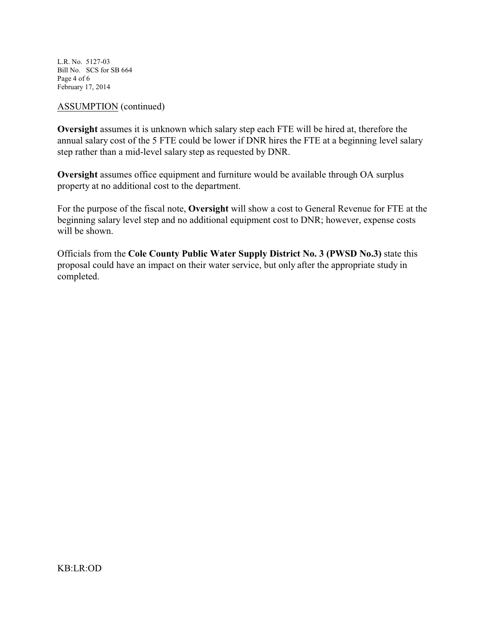L.R. No. 5127-03 Bill No. SCS for SB 664 Page 4 of 6 February 17, 2014

#### ASSUMPTION (continued)

**Oversight** assumes it is unknown which salary step each FTE will be hired at, therefore the annual salary cost of the 5 FTE could be lower if DNR hires the FTE at a beginning level salary step rather than a mid-level salary step as requested by DNR.

**Oversight** assumes office equipment and furniture would be available through OA surplus property at no additional cost to the department.

For the purpose of the fiscal note, **Oversight** will show a cost to General Revenue for FTE at the beginning salary level step and no additional equipment cost to DNR; however, expense costs will be shown.

Officials from the **Cole County Public Water Supply District No. 3 (PWSD No.3)** state this proposal could have an impact on their water service, but only after the appropriate study in completed.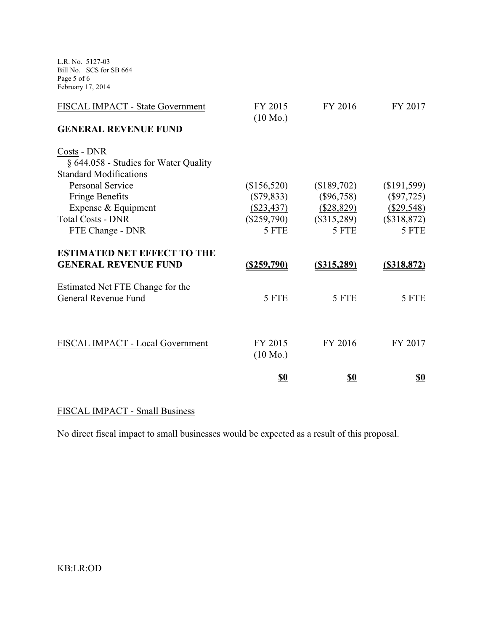L.R. No. 5127-03 Bill No. SCS for SB 664 Page 5 of 6 February 17, 2014

| FISCAL IMPACT - State Government      | FY 2015<br>$(10 \text{ Mo.})$ | FY 2016        | FY 2017        |
|---------------------------------------|-------------------------------|----------------|----------------|
| <b>GENERAL REVENUE FUND</b>           |                               |                |                |
| Costs - DNR                           |                               |                |                |
| § 644.058 - Studies for Water Quality |                               |                |                |
| <b>Standard Modifications</b>         |                               |                |                |
| <b>Personal Service</b>               | (\$156,520)                   | (\$189,702)    | (\$191,599)    |
| <b>Fringe Benefits</b>                | $(\$79,833)$                  | $(\$96,758)$   | $(\$97,725)$   |
| Expense & Equipment                   | $(\$23,437)$                  | $(\$28,829)$   | (\$29,548)     |
| <b>Total Costs - DNR</b>              | $(\$259,790)$                 | $(\$315,289)$  | $(\$318,872)$  |
| FTE Change - DNR                      | 5 FTE                         | 5 FTE          | 5 FTE          |
| <b>ESTIMATED NET EFFECT TO THE</b>    |                               |                |                |
| <b>GENERAL REVENUE FUND</b>           | $($ \$259,790)                | $($ \$315,289) | $($ \$318,872) |
| Estimated Net FTE Change for the      |                               |                |                |
| General Revenue Fund                  | 5 FTE                         | 5 FTE          | 5 FTE          |
|                                       |                               |                |                |
|                                       |                               |                |                |
| FISCAL IMPACT - Local Government      | FY 2015                       | FY 2016        | FY 2017        |
|                                       | $(10 \text{ Mo.})$            |                |                |
|                                       | <u>\$0</u>                    | <u>\$0</u>     | <u>\$0</u>     |

# FISCAL IMPACT - Small Business

No direct fiscal impact to small businesses would be expected as a result of this proposal.